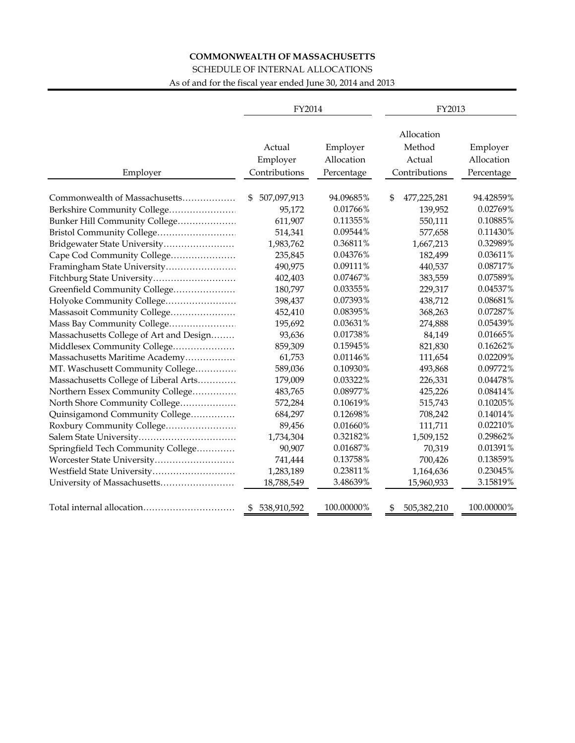## **COMMONWEALTH OF MASSACHUSETTS**

## SCHEDULE OF INTERNAL ALLOCATIONS

As of and for the fiscal year ended June 30, 2014 and 2013

|                                         | FY2014                              |                                      | FY2013                                          |                                      |  |  |  |
|-----------------------------------------|-------------------------------------|--------------------------------------|-------------------------------------------------|--------------------------------------|--|--|--|
| Employer                                | Actual<br>Employer<br>Contributions | Employer<br>Allocation<br>Percentage | Allocation<br>Method<br>Actual<br>Contributions | Employer<br>Allocation<br>Percentage |  |  |  |
| Commonwealth of Massachusetts           | 507,097,913<br>\$                   | 94.09685%                            | \$<br>477,225,281                               | 94.42859%                            |  |  |  |
| Berkshire Community College             | 95,172                              | 0.01766%                             | 139,952                                         | 0.02769%                             |  |  |  |
| Bunker Hill Community College           | 611,907                             | 0.11355%                             | 550,111                                         | 0.10885%                             |  |  |  |
|                                         | 514,341                             | 0.09544%                             | 577,658                                         | 0.11430%                             |  |  |  |
| Bridgewater State University            | 1,983,762                           | 0.36811%                             | 1,667,213                                       | 0.32989%                             |  |  |  |
| Cape Cod Community College              | 235,845                             | 0.04376%                             | 182,499                                         | 0.03611%                             |  |  |  |
| Framingham State University             | 490,975                             | 0.09111%                             | 440,537                                         | 0.08717%                             |  |  |  |
| Fitchburg State University              | 402,403                             | 0.07467%                             | 383,559                                         | 0.07589%                             |  |  |  |
| Greenfield Community College            | 180,797                             | 0.03355%                             | 229,317                                         | 0.04537%                             |  |  |  |
| Holyoke Community College               | 398,437                             | 0.07393%                             | 438,712                                         | 0.08681%                             |  |  |  |
| Massasoit Community College             | 452,410                             | 0.08395%                             | 368,263                                         | 0.07287%                             |  |  |  |
| Mass Bay Community College              | 195,692                             | 0.03631%                             | 274,888                                         | 0.05439%                             |  |  |  |
| Massachusetts College of Art and Design | 93,636                              | 0.01738%                             | 84,149                                          | 0.01665%                             |  |  |  |
| Middlesex Community College             | 859,309                             | 0.15945%                             | 821,830                                         | 0.16262%                             |  |  |  |
| Massachusetts Maritime Academy          | 61,753                              | 0.01146%                             | 111,654                                         | 0.02209%                             |  |  |  |
| MT. Waschusett Community College        | 589,036                             | 0.10930%                             | 493,868                                         | 0.09772%                             |  |  |  |
| Massachusetts College of Liberal Arts   | 179,009                             | 0.03322%                             | 226,331                                         | 0.04478%                             |  |  |  |
| Northern Essex Community College        | 483,765                             | 0.08977%                             | 425,226                                         | 0.08414%                             |  |  |  |
| North Shore Community College           | 572,284                             | 0.10619%                             | 515,743                                         | 0.10205%                             |  |  |  |
| Quinsigamond Community College          | 684,297                             | 0.12698%                             | 708,242                                         | 0.14014%                             |  |  |  |
| Roxbury Community College               | 89,456                              | 0.01660%                             | 111,711                                         | 0.02210%                             |  |  |  |
|                                         | 1,734,304                           | 0.32182%                             | 1,509,152                                       | 0.29862%                             |  |  |  |
| Springfield Tech Community College      | 90,907                              | 0.01687%                             | 70,319                                          | 0.01391%                             |  |  |  |
| Worcester State University              | 741,444                             | 0.13758%                             | 700,426                                         | 0.13859%                             |  |  |  |
| Westfield State University              | 1,283,189                           | 0.23811%                             | 1,164,636                                       | 0.23045%                             |  |  |  |
| University of Massachusetts             | 18,788,549                          | 3.48639%                             | 15,960,933                                      | 3.15819%                             |  |  |  |
| Total internal allocation               | 538,910,592<br>\$                   | 100.00000%                           | 505,382,210<br>\$                               | 100.00000%                           |  |  |  |